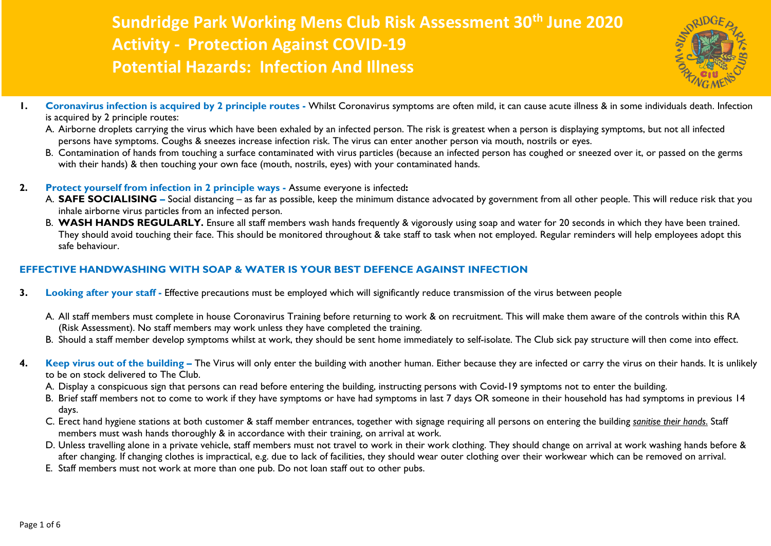## **Sundridge Park Working Mens Club Risk Assessment 30th June 2020 Activity - Protection Against COVID-19 Potential Hazards: Infection And Illness**



- **1. Coronavirus infection is acquired by 2 principle routes -** Whilst Coronavirus symptoms are often mild, it can cause acute illness & in some individuals death. Infection is acquired by 2 principle routes:
	- A. Airborne droplets carrying the virus which have been exhaled by an infected person. The risk is greatest when a person is displaying symptoms, but not all infected persons have symptoms. Coughs & sneezes increase infection risk. The virus can enter another person via mouth, nostrils or eyes.
	- B. Contamination of hands from touching a surface contaminated with virus particles (because an infected person has coughed or sneezed over it, or passed on the germs with their hands) & then touching your own face (mouth, nostrils, eyes) with your contaminated hands.
- **2. Protect yourself from infection in 2 principle ways -** Assume everyone is infected**:**
	- A. SAFE SOCIALISING Social distancing as far as possible, keep the minimum distance advocated by government from all other people. This will reduce risk that you inhale airborne virus particles from an infected person.
	- B. WASH HANDS REGULARLY. Ensure all staff members wash hands frequently & vigorously using soap and water for 20 seconds in which they have been trained. They should avoid touching their face. This should be monitored throughout & take staff to task when not employed. Regular reminders will help employees adopt this safe behaviour.

## **EFFECTIVE HANDWASHING WITH SOAP & WATER IS YOUR BEST DEFENCE AGAINST INFECTION**

- **3. Looking after your staff -** Effective precautions must be employed which will significantly reduce transmission of the virus between people
	- A. All staff members must complete in house Coronavirus Training before returning to work & on recruitment. This will make them aware of the controls within this RA (Risk Assessment). No staff members may work unless they have completed the training.
	- B. Should a staff member develop symptoms whilst at work, they should be sent home immediately to self-isolate. The Club sick pay structure will then come into effect.
- **4. Keep virus out of the building –** The Virus will only enter the building with another human. Either because they are infected or carry the virus on their hands. It is unlikely to be on stock delivered to The Club.
	- A. Display a conspicuous sign that persons can read before entering the building, instructing persons with Covid-19 symptoms not to enter the building.
	- B. Brief staff members not to come to work if they have symptoms or have had symptoms in last 7 days OR someone in their household has had symptoms in previous 14 days.
	- C. Erect hand hygiene stations at both customer & staff member entrances, together with signage requiring all persons on entering the building *sanitise their hands*. Staff members must wash hands thoroughly & in accordance with their training, on arrival at work.
	- D. Unless travelling alone in a private vehicle, staff members must not travel to work in their work clothing. They should change on arrival at work washing hands before & after changing. If changing clothes is impractical, e.g. due to lack of facilities, they should wear outer clothing over their workwear which can be removed on arrival.
	- E. Staff members must not work at more than one pub. Do not loan staff out to other pubs.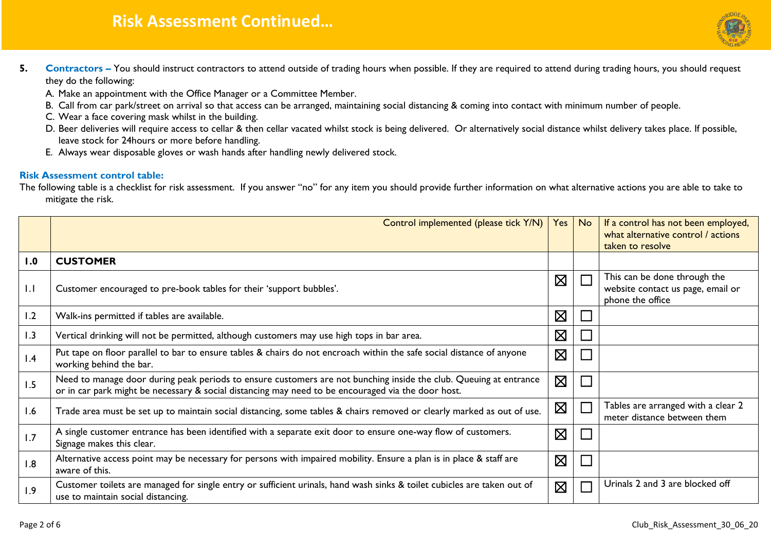## **Risk Assessment Continued…**



- **5. Contractors** You should instruct contractors to attend outside of trading hours when possible. If they are required to attend during trading hours, you should request they do the following:
	- A. Make an appointment with the Office Manager or a Committee Member.
	- B. Call from car park/street on arrival so that access can be arranged, maintaining social distancing & coming into contact with minimum number of people.
	- C. Wear a face covering mask whilst in the building.
	- D. Beer deliveries will require access to cellar & then cellar vacated whilst stock is being delivered. Or alternatively social distance whilst delivery takes place. If possible, leave stock for 24hours or more before handling.
	- E. Always wear disposable gloves or wash hands after handling newly delivered stock.

## **Risk Assessment control table:**

The following table is a checklist for risk assessment. If you answer "no" for any item you should provide further information on what alternative actions you are able to take to mitigate the risk.

|             | Control implemented (please tick Y/N)                                                                                                                                                                                   | Yes         | No                          | If a control has not been employed,<br>what alternative control / actions             |
|-------------|-------------------------------------------------------------------------------------------------------------------------------------------------------------------------------------------------------------------------|-------------|-----------------------------|---------------------------------------------------------------------------------------|
|             |                                                                                                                                                                                                                         |             |                             | taken to resolve                                                                      |
| 1.0         | <b>CUSTOMER</b>                                                                                                                                                                                                         |             |                             |                                                                                       |
| $  \cdot  $ | Customer encouraged to pre-book tables for their 'support bubbles'.                                                                                                                                                     | $\boxtimes$ |                             | This can be done through the<br>website contact us page, email or<br>phone the office |
| 1.2         | Walk-ins permitted if tables are available.                                                                                                                                                                             | $\boxtimes$ |                             |                                                                                       |
| 1.3         | Vertical drinking will not be permitted, although customers may use high tops in bar area.                                                                                                                              | $\boxtimes$ |                             |                                                                                       |
| 1.4         | Put tape on floor parallel to bar to ensure tables & chairs do not encroach within the safe social distance of anyone<br>working behind the bar.                                                                        | $\boxtimes$ |                             |                                                                                       |
| 1.5         | Need to manage door during peak periods to ensure customers are not bunching inside the club. Queuing at entrance<br>or in car park might be necessary & social distancing may need to be encouraged via the door host. | $\boxtimes$ |                             |                                                                                       |
| 1.6         | Trade area must be set up to maintain social distancing, some tables & chairs removed or clearly marked as out of use.                                                                                                  | $\boxtimes$ | $\mathcal{L}_{\mathcal{A}}$ | Tables are arranged with a clear 2<br>meter distance between them                     |
| 1.7         | A single customer entrance has been identified with a separate exit door to ensure one-way flow of customers.<br>Signage makes this clear.                                                                              | $\boxtimes$ |                             |                                                                                       |
| 1.8         | Alternative access point may be necessary for persons with impaired mobility. Ensure a plan is in place & staff are<br>aware of this.                                                                                   | $\boxtimes$ |                             |                                                                                       |
| 1.9         | Customer toilets are managed for single entry or sufficient urinals, hand wash sinks & toilet cubicles are taken out of<br>use to maintain social distancing.                                                           | $\boxtimes$ |                             | Urinals 2 and 3 are blocked off                                                       |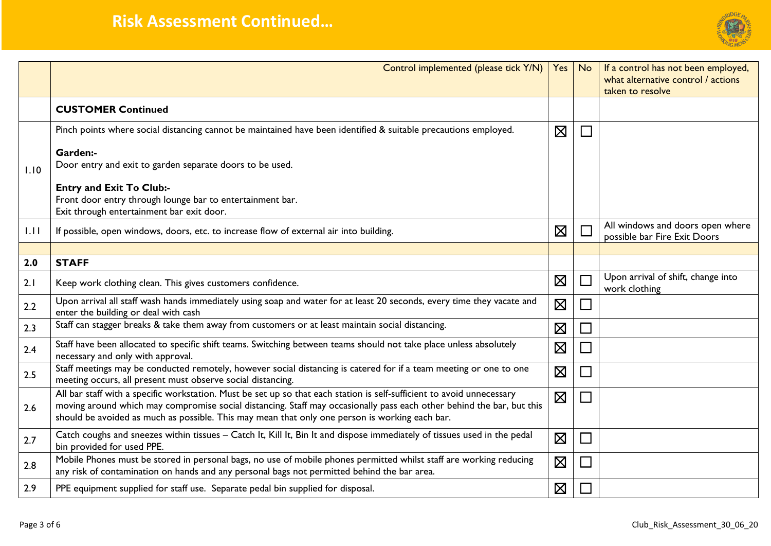

|      | Control implemented (please tick Y/N)                                                                                                                                                                                                                                                                                                             | Yes         | <b>No</b>                   | If a control has not been employed,<br>what alternative control / actions<br>taken to resolve |
|------|---------------------------------------------------------------------------------------------------------------------------------------------------------------------------------------------------------------------------------------------------------------------------------------------------------------------------------------------------|-------------|-----------------------------|-----------------------------------------------------------------------------------------------|
|      | <b>CUSTOMER Continued</b>                                                                                                                                                                                                                                                                                                                         |             |                             |                                                                                               |
| 1.10 | Pinch points where social distancing cannot be maintained have been identified & suitable precautions employed.<br>Garden:-<br>Door entry and exit to garden separate doors to be used.                                                                                                                                                           | $\boxtimes$ | $\Box$                      |                                                                                               |
|      | <b>Entry and Exit To Club:-</b><br>Front door entry through lounge bar to entertainment bar.<br>Exit through entertainment bar exit door.                                                                                                                                                                                                         |             |                             |                                                                                               |
| 1.11 | If possible, open windows, doors, etc. to increase flow of external air into building.                                                                                                                                                                                                                                                            | $\boxtimes$ |                             | All windows and doors open where<br>possible bar Fire Exit Doors                              |
|      |                                                                                                                                                                                                                                                                                                                                                   |             |                             |                                                                                               |
| 2.0  | <b>STAFF</b>                                                                                                                                                                                                                                                                                                                                      |             |                             |                                                                                               |
| 2.1  | Keep work clothing clean. This gives customers confidence.                                                                                                                                                                                                                                                                                        | $\boxtimes$ |                             | Upon arrival of shift, change into<br>work clothing                                           |
| 2.2  | Upon arrival all staff wash hands immediately using soap and water for at least 20 seconds, every time they vacate and<br>enter the building or deal with cash                                                                                                                                                                                    | $\boxtimes$ | $\mathcal{L}_{\mathcal{A}}$ |                                                                                               |
| 2.3  | Staff can stagger breaks & take them away from customers or at least maintain social distancing.                                                                                                                                                                                                                                                  | $\boxtimes$ |                             |                                                                                               |
| 2.4  | Staff have been allocated to specific shift teams. Switching between teams should not take place unless absolutely<br>necessary and only with approval.                                                                                                                                                                                           | $\boxtimes$ |                             |                                                                                               |
| 2.5  | Staff meetings may be conducted remotely, however social distancing is catered for if a team meeting or one to one<br>meeting occurs, all present must observe social distancing.                                                                                                                                                                 | $\boxtimes$ |                             |                                                                                               |
| 2.6  | All bar staff with a specific workstation. Must be set up so that each station is self-sufficient to avoid unnecessary<br>moving around which may compromise social distancing. Staff may occasionally pass each other behind the bar, but this<br>should be avoided as much as possible. This may mean that only one person is working each bar. | $\boxtimes$ |                             |                                                                                               |
| 2.7  | Catch coughs and sneezes within tissues - Catch It, Kill It, Bin It and dispose immediately of tissues used in the pedal<br>bin provided for used PPE.                                                                                                                                                                                            | $\boxtimes$ |                             |                                                                                               |
| 2.8  | Mobile Phones must be stored in personal bags, no use of mobile phones permitted whilst staff are working reducing<br>any risk of contamination on hands and any personal bags not permitted behind the bar area.                                                                                                                                 | $\boxtimes$ |                             |                                                                                               |
| 2.9  | PPE equipment supplied for staff use. Separate pedal bin supplied for disposal.                                                                                                                                                                                                                                                                   | $\boxtimes$ |                             |                                                                                               |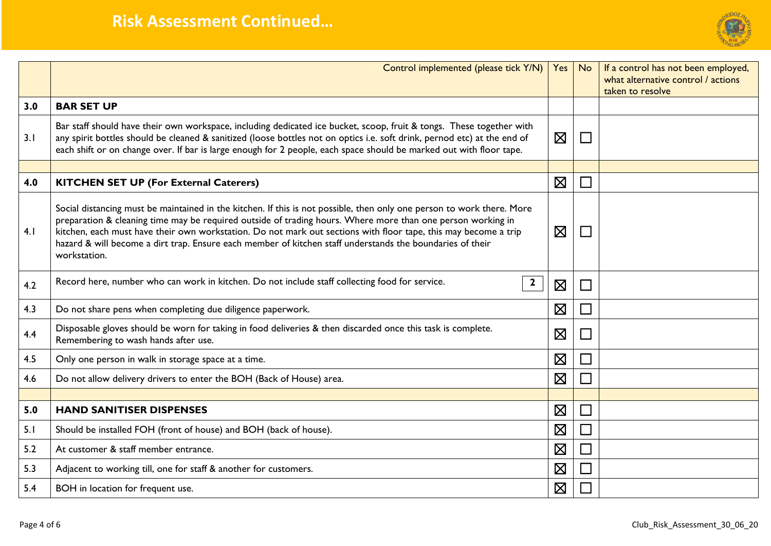

|     | Control implemented (please tick Y/N)   Yes                                                                                                                                                                                                                                                                                                                                                                                                                                           |             | No                          | If a control has not been employed,<br>what alternative control / actions<br>taken to resolve |
|-----|---------------------------------------------------------------------------------------------------------------------------------------------------------------------------------------------------------------------------------------------------------------------------------------------------------------------------------------------------------------------------------------------------------------------------------------------------------------------------------------|-------------|-----------------------------|-----------------------------------------------------------------------------------------------|
| 3.0 | <b>BAR SET UP</b>                                                                                                                                                                                                                                                                                                                                                                                                                                                                     |             |                             |                                                                                               |
| 3.1 | Bar staff should have their own workspace, including dedicated ice bucket, scoop, fruit & tongs. These together with<br>any spirit bottles should be cleaned & sanitized (loose bottles not on optics i.e. soft drink, pernod etc) at the end of<br>each shift or on change over. If bar is large enough for 2 people, each space should be marked out with floor tape.                                                                                                               | $\boxtimes$ | $\sim$                      |                                                                                               |
|     |                                                                                                                                                                                                                                                                                                                                                                                                                                                                                       |             |                             |                                                                                               |
| 4.0 | <b>KITCHEN SET UP (For External Caterers)</b>                                                                                                                                                                                                                                                                                                                                                                                                                                         | $\boxtimes$ |                             |                                                                                               |
| 4.1 | Social distancing must be maintained in the kitchen. If this is not possible, then only one person to work there. More<br>preparation & cleaning time may be required outside of trading hours. Where more than one person working in<br>kitchen, each must have their own workstation. Do not mark out sections with floor tape, this may become a trip<br>hazard & will become a dirt trap. Ensure each member of kitchen staff understands the boundaries of their<br>workstation. | $\boxtimes$ | $\mathcal{L}_{\mathcal{A}}$ |                                                                                               |
| 4.2 | Record here, number who can work in kitchen. Do not include staff collecting food for service.<br>$\mathbf{2}$                                                                                                                                                                                                                                                                                                                                                                        | $\boxtimes$ | $\Box$                      |                                                                                               |
| 4.3 | Do not share pens when completing due diligence paperwork.                                                                                                                                                                                                                                                                                                                                                                                                                            | $\boxtimes$ | $\mathcal{L}^{\mathcal{A}}$ |                                                                                               |
| 4.4 | Disposable gloves should be worn for taking in food deliveries & then discarded once this task is complete.<br>Remembering to wash hands after use.                                                                                                                                                                                                                                                                                                                                   | $\boxtimes$ | $\sim$                      |                                                                                               |
| 4.5 | Only one person in walk in storage space at a time.                                                                                                                                                                                                                                                                                                                                                                                                                                   | $\boxtimes$ |                             |                                                                                               |
| 4.6 | Do not allow delivery drivers to enter the BOH (Back of House) area.                                                                                                                                                                                                                                                                                                                                                                                                                  | $\boxtimes$ |                             |                                                                                               |
|     |                                                                                                                                                                                                                                                                                                                                                                                                                                                                                       |             |                             |                                                                                               |
| 5.0 | <b>HAND SANITISER DISPENSES</b>                                                                                                                                                                                                                                                                                                                                                                                                                                                       | $\boxtimes$ |                             |                                                                                               |
| 5.1 | Should be installed FOH (front of house) and BOH (back of house).                                                                                                                                                                                                                                                                                                                                                                                                                     | $\boxtimes$ |                             |                                                                                               |
| 5.2 | At customer & staff member entrance.                                                                                                                                                                                                                                                                                                                                                                                                                                                  | $\boxtimes$ |                             |                                                                                               |
| 5.3 | Adjacent to working till, one for staff & another for customers.                                                                                                                                                                                                                                                                                                                                                                                                                      | $\boxtimes$ |                             |                                                                                               |
| 5.4 | BOH in location for frequent use.                                                                                                                                                                                                                                                                                                                                                                                                                                                     | $\boxtimes$ |                             |                                                                                               |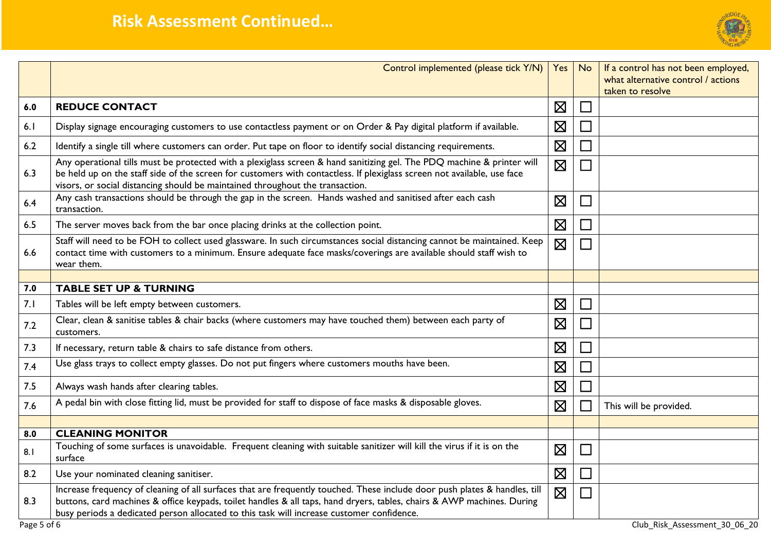

|     | Control implemented (please tick Y/N)                                                                                                                                                                                                                                                                                                             | Yes         | <b>No</b>      | If a control has not been employed,<br>what alternative control / actions |  |
|-----|---------------------------------------------------------------------------------------------------------------------------------------------------------------------------------------------------------------------------------------------------------------------------------------------------------------------------------------------------|-------------|----------------|---------------------------------------------------------------------------|--|
|     |                                                                                                                                                                                                                                                                                                                                                   |             |                | taken to resolve                                                          |  |
| 6.0 | <b>REDUCE CONTACT</b>                                                                                                                                                                                                                                                                                                                             | $\boxtimes$ |                |                                                                           |  |
| 6.1 | Display signage encouraging customers to use contactless payment or on Order & Pay digital platform if available.                                                                                                                                                                                                                                 | $\boxtimes$ |                |                                                                           |  |
| 6.2 | Identify a single till where customers can order. Put tape on floor to identify social distancing requirements.                                                                                                                                                                                                                                   | $\boxtimes$ |                |                                                                           |  |
| 6.3 | Any operational tills must be protected with a plexiglass screen & hand sanitizing gel. The PDQ machine & printer will<br>be held up on the staff side of the screen for customers with contactless. If plexiglass screen not available, use face<br>visors, or social distancing should be maintained throughout the transaction.                | $\boxtimes$ |                |                                                                           |  |
| 6.4 | Any cash transactions should be through the gap in the screen. Hands washed and sanitised after each cash<br>transaction.                                                                                                                                                                                                                         | $\boxtimes$ |                |                                                                           |  |
| 6.5 | The server moves back from the bar once placing drinks at the collection point.                                                                                                                                                                                                                                                                   | $\boxtimes$ |                |                                                                           |  |
| 6.6 | Staff will need to be FOH to collect used glassware. In such circumstances social distancing cannot be maintained. Keep<br>contact time with customers to a minimum. Ensure adequate face masks/coverings are available should staff wish to<br>wear them.                                                                                        | $\boxtimes$ |                |                                                                           |  |
|     |                                                                                                                                                                                                                                                                                                                                                   |             |                |                                                                           |  |
| 7.0 | <b>TABLE SET UP &amp; TURNING</b>                                                                                                                                                                                                                                                                                                                 |             |                |                                                                           |  |
| 7.1 | Tables will be left empty between customers.                                                                                                                                                                                                                                                                                                      | $\boxtimes$ |                |                                                                           |  |
| 7.2 | Clear, clean & sanitise tables & chair backs (where customers may have touched them) between each party of<br>customers.                                                                                                                                                                                                                          | $\boxtimes$ |                |                                                                           |  |
| 7.3 | If necessary, return table & chairs to safe distance from others.                                                                                                                                                                                                                                                                                 | $\boxtimes$ |                |                                                                           |  |
| 7.4 | Use glass trays to collect empty glasses. Do not put fingers where customers mouths have been.                                                                                                                                                                                                                                                    | $\boxtimes$ |                |                                                                           |  |
| 7.5 | Always wash hands after clearing tables.                                                                                                                                                                                                                                                                                                          | $\boxtimes$ |                |                                                                           |  |
| 7.6 | A pedal bin with close fitting lid, must be provided for staff to dispose of face masks & disposable gloves.                                                                                                                                                                                                                                      | $\boxtimes$ |                | This will be provided.                                                    |  |
|     |                                                                                                                                                                                                                                                                                                                                                   |             |                |                                                                           |  |
| 8.0 | <b>CLEANING MONITOR</b>                                                                                                                                                                                                                                                                                                                           |             |                |                                                                           |  |
| 8.1 | Touching of some surfaces is unavoidable. Frequent cleaning with suitable sanitizer will kill the virus if it is on the<br>surface                                                                                                                                                                                                                | $\boxtimes$ | $\mathbb{R}^2$ |                                                                           |  |
| 8.2 | Use your nominated cleaning sanitiser.                                                                                                                                                                                                                                                                                                            | $\boxtimes$ |                |                                                                           |  |
| 8.3 | Increase frequency of cleaning of all surfaces that are frequently touched. These include door push plates & handles, till<br>buttons, card machines & office keypads, toilet handles & all taps, hand dryers, tables, chairs & AWP machines. During<br>busy periods a dedicated person allocated to this task will increase customer confidence. | $\boxtimes$ |                |                                                                           |  |
|     | Club Risk Assessment 30 06 20<br>Page 5 of 6                                                                                                                                                                                                                                                                                                      |             |                |                                                                           |  |